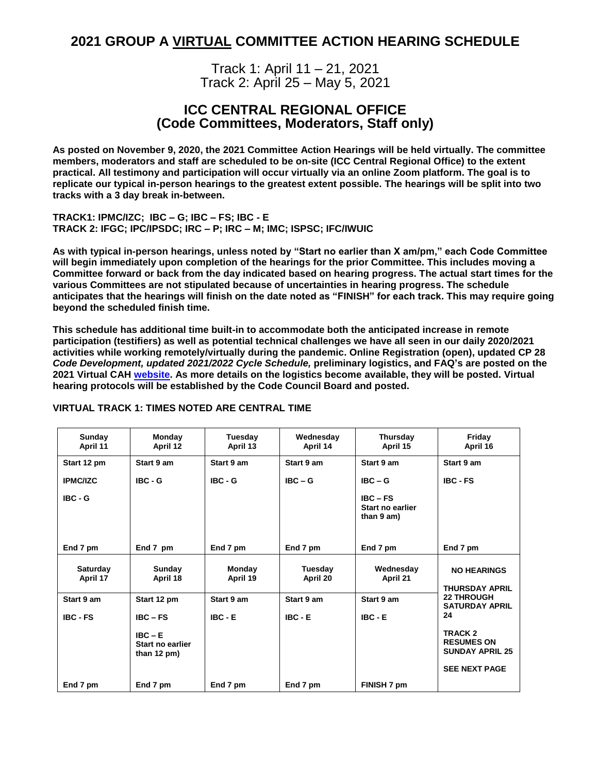# **2021 GROUP A VIRTUAL COMMITTEE ACTION HEARING SCHEDULE**

Track 1: April 11 – 21, 2021 Track 2: April 25 – May 5, 2021

# **ICC CENTRAL REGIONAL OFFICE (Code Committees, Moderators, Staff only)**

**As posted on November 9, 2020, the 2021 Committee Action Hearings will be held virtually. The committee members, moderators and staff are scheduled to be on-site (ICC Central Regional Office) to the extent practical. All testimony and participation will occur virtually via an online Zoom platform. The goal is to replicate our typical in-person hearings to the greatest extent possible. The hearings will be split into two tracks with a 3 day break in-between.** 

**TRACK1: IPMC/IZC; IBC – G; IBC – FS; IBC - E TRACK 2: IFGC; IPC/IPSDC; IRC – P; IRC – M; IMC; ISPSC; IFC/IWUIC**

**As with typical in-person hearings, unless noted by "Start no earlier than X am/pm," each Code Committee will begin immediately upon completion of the hearings for the prior Committee. This includes moving a Committee forward or back from the day indicated based on hearing progress. The actual start times for the various Committees are not stipulated because of uncertainties in hearing progress. The schedule anticipates that the hearings will finish on the date noted as "FINISH" for each track. This may require going beyond the scheduled finish time.**

**This schedule has additional time built-in to accommodate both the anticipated increase in remote participation (testifiers) as well as potential technical challenges we have all seen in our daily 2020/2021 activities while working remotely/virtually during the pandemic. Online Registration (open), updated CP 28** *Code Development, updated 2021/2022 Cycle Schedule,* **preliminary logistics, and FAQ's are posted on the 2021 Virtual CAH [website.](https://www.iccsafe.org/products-and-services/i-codes/code-development/2021-2022-virtual-committee-action-hearing/) As more details on the logistics become available, they will be posted. Virtual hearing protocols will be established by the Code Council Board and posted.**

| Sunday<br>April 11          | Monday<br>April 12                                      | Tuesday<br>April 13 | Wednesday<br>April 14 | Thursday<br>April 15                         | Friday<br>April 16                                                |
|-----------------------------|---------------------------------------------------------|---------------------|-----------------------|----------------------------------------------|-------------------------------------------------------------------|
| Start 12 pm                 | Start 9 am                                              | Start 9 am          | Start 9 am            | Start 9 am                                   | Start 9 am                                                        |
| <b>IPMC/IZC</b>             | $IBC - G$                                               | $IBC - G$           | $IBC - G$             | $IBC - G$                                    | <b>IBC - FS</b>                                                   |
| $IBC - G$                   |                                                         |                     |                       | $IBC - FS$<br>Start no earlier<br>than 9 am) |                                                                   |
| End 7 pm                    | End 7 pm                                                | End 7 pm            | End 7 pm              | End 7 pm                                     | End 7 pm                                                          |
| <b>Saturday</b><br>April 17 | Sunday<br>April 18                                      | Monday<br>April 19  | Tuesday<br>April 20   | Wednesday<br>April 21                        | <b>NO HEARINGS</b><br><b>THURSDAY APRIL</b>                       |
| Start 9 am                  | Start 12 pm                                             | Start 9 am          | Start 9 am            | Start 9 am                                   | <b>22 THROUGH</b><br><b>SATURDAY APRIL</b>                        |
| <b>IBC - FS</b>             | $IBC - FS$                                              | $IBC - E$           | $IBC - E$             | $IBC - E$                                    | 24                                                                |
|                             | $IBC - E$<br>Start no earlier<br>than $12 \text{ pm}$ ) |                     |                       |                                              | TRACK <sub>2</sub><br><b>RESUMES ON</b><br><b>SUNDAY APRIL 25</b> |
|                             |                                                         |                     |                       |                                              | <b>SEE NEXT PAGE</b>                                              |
| End 7 pm                    | End 7 pm                                                | End 7 pm            | End 7 pm              | FINISH 7 pm                                  |                                                                   |

## **VIRTUAL TRACK 1: TIMES NOTED ARE CENTRAL TIME**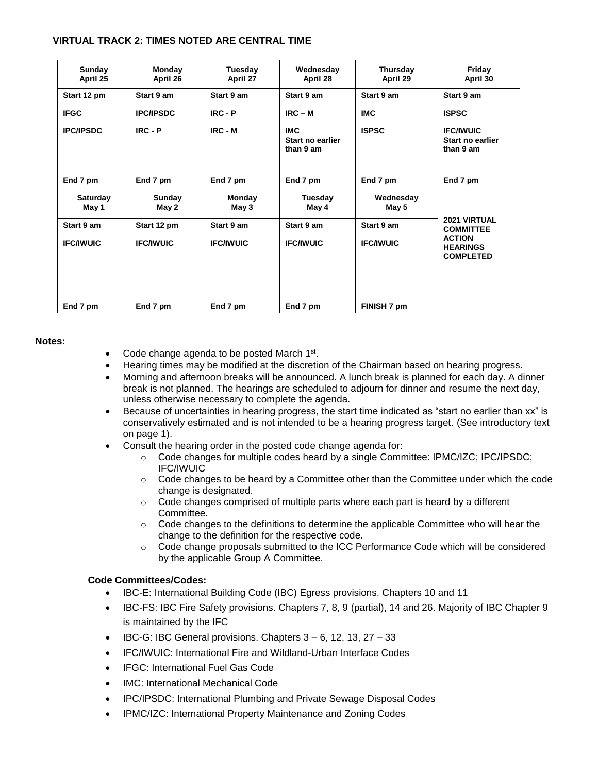## **VIRTUAL TRACK 2: TIMES NOTED ARE CENTRAL TIME**

| Sunday<br>April 25             | Monday<br>April 26              | Tuesday<br>April 27            | Wednesday<br>April 28                       | Thursday<br>April 29           | Friday<br>April 30                                                                              |
|--------------------------------|---------------------------------|--------------------------------|---------------------------------------------|--------------------------------|-------------------------------------------------------------------------------------------------|
| Start 12 pm                    | Start 9 am                      | Start 9 am                     | Start 9 am                                  | Start 9 am                     | Start 9 am                                                                                      |
| <b>IFGC</b>                    | <b>IPC/IPSDC</b>                | $IRC - P$                      | $IRC - M$                                   | <b>IMC</b>                     | <b>ISPSC</b>                                                                                    |
| <b>IPC/IPSDC</b>               | $IRC - P$                       | $IRC - M$                      | <b>IMC</b><br>Start no earlier<br>than 9 am | <b>ISPSC</b>                   | <b>IFC/IWUIC</b><br>Start no earlier<br>than 9 am                                               |
| End 7 pm                       | End 7 pm                        | End 7 pm                       | End 7 pm                                    | End 7 pm                       | End 7 pm                                                                                        |
| <b>Saturday</b><br>May 1       | Sunday<br>May 2                 | Monday<br>May 3                | Tuesday<br>May 4                            | Wednesday<br>May 5             |                                                                                                 |
| Start 9 am<br><b>IFC/IWUIC</b> | Start 12 pm<br><b>IFC/IWUIC</b> | Start 9 am<br><b>IFC/IWUIC</b> | Start 9 am<br><b>IFC/IWUIC</b>              | Start 9 am<br><b>IFC/IWUIC</b> | <b>2021 VIRTUAL</b><br><b>COMMITTEE</b><br><b>ACTION</b><br><b>HEARINGS</b><br><b>COMPLETED</b> |
| End 7 pm                       | End 7 pm                        | End 7 pm                       | End 7 pm                                    | FINISH 7 pm                    |                                                                                                 |

#### **Notes:**

- Code change agenda to be posted March 1<sup>st</sup>.
- Hearing times may be modified at the discretion of the Chairman based on hearing progress.
- Morning and afternoon breaks will be announced. A lunch break is planned for each day. A dinner break is not planned. The hearings are scheduled to adjourn for dinner and resume the next day, unless otherwise necessary to complete the agenda.
- Because of uncertainties in hearing progress, the start time indicated as "start no earlier than xx" is conservatively estimated and is not intended to be a hearing progress target. (See introductory text on page 1).
- Consult the hearing order in the posted code change agenda for:
	- $\circ$  Code changes for multiple codes heard by a single Committee: IPMC/IZC; IPC/IPSDC; IFC/IWUIC
	- $\circ$  Code changes to be heard by a Committee other than the Committee under which the code change is designated.
	- $\circ$  Code changes comprised of multiple parts where each part is heard by a different Committee.
	- $\circ$  Code changes to the definitions to determine the applicable Committee who will hear the change to the definition for the respective code.
	- o Code change proposals submitted to the ICC Performance Code which will be considered by the applicable Group A Committee.

#### **Code Committees/Codes:**

- IBC-E: International Building Code (IBC) Egress provisions. Chapters 10 and 11
- IBC-FS: IBC Fire Safety provisions. Chapters 7, 8, 9 (partial), 14 and 26. Majority of IBC Chapter 9 is maintained by the IFC
- IBC-G: IBC General provisions. Chapters  $3 6$ , 12, 13, 27 33
- IFC/IWUIC: International Fire and Wildland-Urban Interface Codes
- IFGC: International Fuel Gas Code
- IMC: International Mechanical Code
- IPC/IPSDC: International Plumbing and Private Sewage Disposal Codes
- IPMC/IZC: International Property Maintenance and Zoning Codes